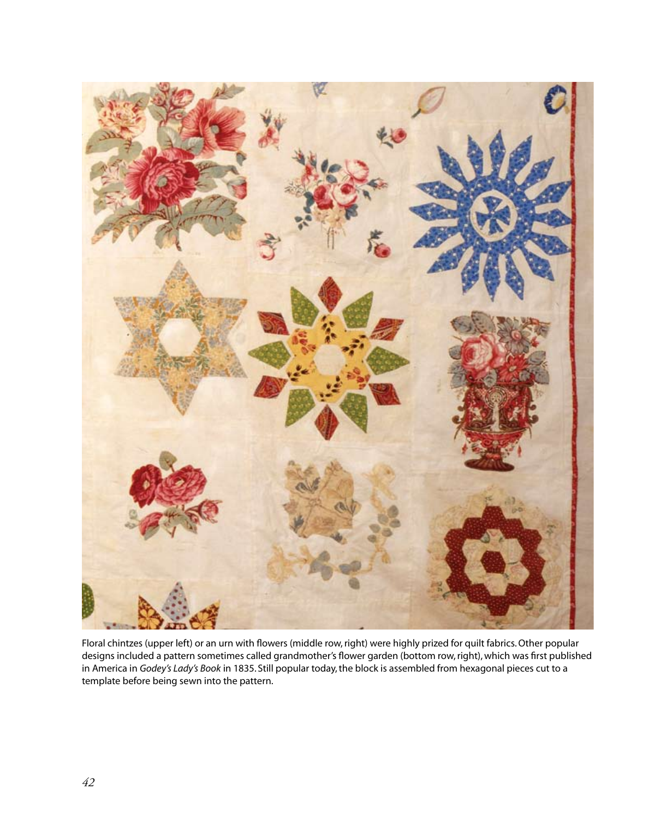

Floral chintzes (upper left) or an urn with flowers (middle row, right) were highly prized for quilt fabrics. Other popular designs included a pattern sometimes called grandmother's flower garden (bottom row, right), which was first published in America in *Godey's Lady's Book* in 1835. Still popular today, the block is assembled from hexagonal pieces cut to a template before being sewn into the pattern.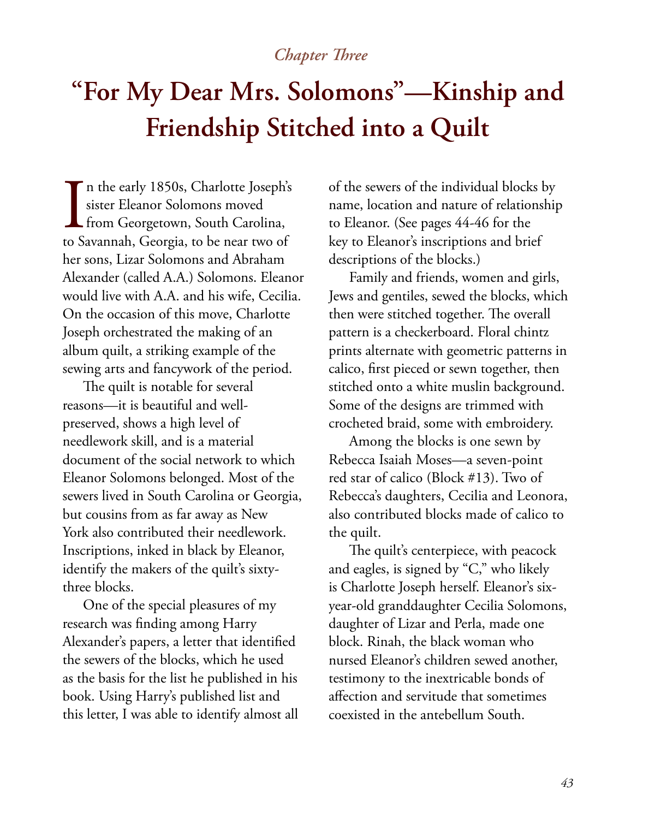# *Chapter Three*

# **"For My Dear Mrs. Solomons"—Kinship and Friendship Stitched into a Quilt**

 $\prod_{\text{to S}}$ n the early 1850s, Charlotte Joseph's sister Eleanor Solomons moved from Georgetown, South Carolina, to Savannah, Georgia, to be near two of her sons, Lizar Solomons and Abraham Alexander (called A.A.) Solomons. Eleanor would live with A.A. and his wife, Cecilia. On the occasion of this move, Charlotte Joseph orchestrated the making of an album quilt, a striking example of the sewing arts and fancywork of the period.

The quilt is notable for several reasons—it is beautiful and wellpreserved, shows a high level of needlework skill, and is a material document of the social network to which Eleanor Solomons belonged. Most of the sewers lived in South Carolina or Georgia, but cousins from as far away as New York also contributed their needlework. Inscriptions, inked in black by Eleanor, identify the makers of the quilt's sixtythree blocks.

One of the special pleasures of my research was finding among Harry Alexander's papers, a letter that identified the sewers of the blocks, which he used as the basis for the list he published in his book. Using Harry's published list and this letter, I was able to identify almost all

of the sewers of the individual blocks by name, location and nature of relationship to Eleanor. (See pages 44-46 for the key to Eleanor's inscriptions and brief descriptions of the blocks.)

Family and friends, women and girls, Jews and gentiles, sewed the blocks, which then were stitched together. The overall pattern is a checkerboard. Floral chintz prints alternate with geometric patterns in calico, first pieced or sewn together, then stitched onto a white muslin background. Some of the designs are trimmed with crocheted braid, some with embroidery.

Among the blocks is one sewn by Rebecca Isaiah Moses—a seven-point red star of calico (Block #13). Two of Rebecca's daughters, Cecilia and Leonora, also contributed blocks made of calico to the quilt.

The quilt's centerpiece, with peacock and eagles, is signed by "C," who likely is Charlotte Joseph herself. Eleanor's sixyear-old granddaughter Cecilia Solomons, daughter of Lizar and Perla, made one block. Rinah, the black woman who nursed Eleanor's children sewed another, testimony to the inextricable bonds of affection and servitude that sometimes coexisted in the antebellum South.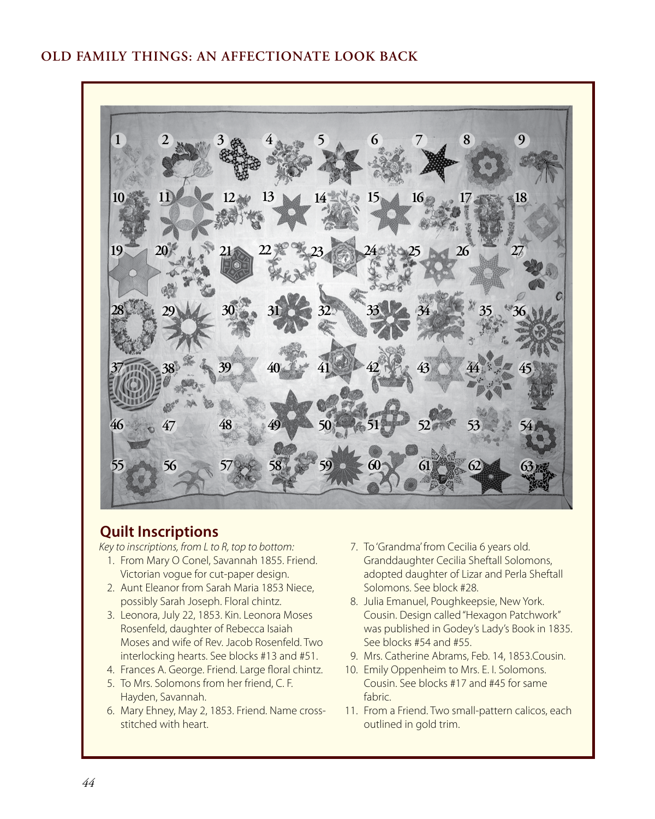### **OLD FAMILY THINGS: AN AFFECTIONATE LOOK BACK**



#### **Quilt Inscriptions**

*Key to inscriptions, from L to R, top to bottom:*

- 1. From Mary O Conel, Savannah 1855. Friend. Victorian vogue for cut-paper design.
- 2. Aunt Eleanor from Sarah Maria 1853 Niece, possibly Sarah Joseph. Floral chintz.
- 3. Leonora, July 22, 1853. Kin. Leonora Moses Rosenfeld, daughter of Rebecca Isaiah Moses and wife of Rev. Jacob Rosenfeld. Two interlocking hearts. See blocks #13 and #51.
- 4. Frances A. George. Friend. Large floral chintz.
- 5. To Mrs. Solomons from her friend, C. F. Hayden, Savannah.
- 6. Mary Ehney, May 2, 1853. Friend. Name crossstitched with heart.
- 7. To 'Grandma' from Cecilia 6 years old. Granddaughter Cecilia Sheftall Solomons, adopted daughter of Lizar and Perla Sheftall Solomons. See block #28.
- 8. Julia Emanuel, Poughkeepsie, New York. Cousin. Design called "Hexagon Patchwork" was published in Godey's Lady's Book in 1835. See blocks #54 and #55.
- 9. Mrs. Catherine Abrams, Feb. 14, 1853.Cousin.
- 10. Emily Oppenheim to Mrs. E. I. Solomons. Cousin. See blocks #17 and #45 for same fabric.
- 11. From a Friend. Two small-pattern calicos, each outlined in gold trim.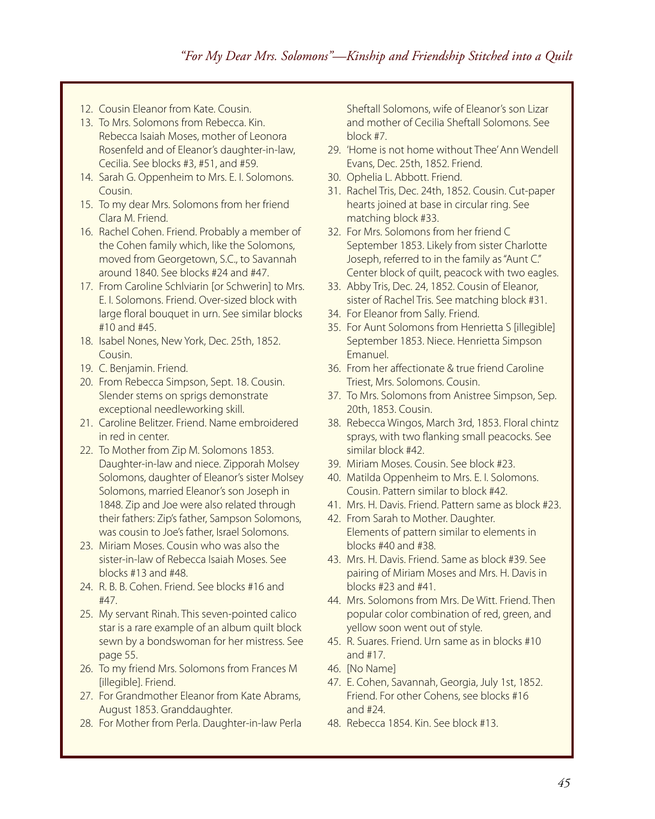- 12. Cousin Eleanor from Kate. Cousin.
- 13. To Mrs. Solomons from Rebecca. Kin. Rebecca Isaiah Moses, mother of Leonora Rosenfeld and of Eleanor's daughter-in-law, Cecilia. See blocks #3, #51, and #59.
- 14. Sarah G. Oppenheim to Mrs. E. I. Solomons. Cousin.
- 15. To my dear Mrs. Solomons from her friend Clara M. Friend.
- 16. Rachel Cohen. Friend. Probably a member of the Cohen family which, like the Solomons, moved from Georgetown, S.C., to Savannah around 1840. See blocks #24 and #47.
- 17. From Caroline Schlviarin [or Schwerin] to Mrs. E. I. Solomons. Friend. Over-sized block with large floral bouquet in urn. See similar blocks #10 and #45.
- 18. Isabel Nones, New York, Dec. 25th, 1852. Cousin.
- 19. C. Benjamin. Friend.
- 20. From Rebecca Simpson, Sept. 18. Cousin. Slender stems on sprigs demonstrate exceptional needleworking skill.
- 21. Caroline Belitzer. Friend. Name embroidered in red in center.
- 22. To Mother from Zip M. Solomons 1853. Daughter-in-law and niece. Zipporah Molsey Solomons, daughter of Eleanor's sister Molsey Solomons, married Eleanor's son Joseph in 1848. Zip and Joe were also related through their fathers: Zip's father, Sampson Solomons, was cousin to Joe's father, Israel Solomons.
- 23. Miriam Moses. Cousin who was also the sister-in-law of Rebecca Isaiah Moses. See blocks #13 and #48.
- 24. R. B. B. Cohen. Friend. See blocks #16 and #47.
- 25. My servant Rinah. This seven-pointed calico star is a rare example of an album quilt block sewn by a bondswoman for her mistress. See page 55.
- 26. To my friend Mrs. Solomons from Frances M [illegible]. Friend.
- 27. For Grandmother Eleanor from Kate Abrams, August 1853. Granddaughter.
- 28. For Mother from Perla. Daughter-in-law Perla

Sheftall Solomons, wife of Eleanor's son Lizar and mother of Cecilia Sheftall Solomons. See block #7.

- 29. 'Home is not home without Thee' Ann Wendell Evans, Dec. 25th, 1852. Friend.
- 30. Ophelia L. Abbott. Friend.
- 31. Rachel Tris, Dec. 24th, 1852. Cousin. Cut-paper hearts joined at base in circular ring. See matching block #33.
- 32. For Mrs. Solomons from her friend C September 1853. Likely from sister Charlotte Joseph, referred to in the family as "Aunt C." Center block of quilt, peacock with two eagles.
- 33. Abby Tris, Dec. 24, 1852. Cousin of Eleanor, sister of Rachel Tris. See matching block #31.
- 34. For Eleanor from Sally. Friend.
- 35. For Aunt Solomons from Henrietta S [illegible] September 1853. Niece. Henrietta Simpson Emanuel.
- 36. From her affectionate & true friend Caroline Triest, Mrs. Solomons. Cousin.
- 37. To Mrs. Solomons from Anistree Simpson, Sep. 20th, 1853. Cousin.
- 38. Rebecca Wingos, March 3rd, 1853. Floral chintz sprays, with two flanking small peacocks. See similar block #42.
- 39. Miriam Moses. Cousin. See block #23.
- 40. Matilda Oppenheim to Mrs. E. I. Solomons. Cousin. Pattern similar to block #42.
- 41. Mrs. H. Davis. Friend. Pattern same as block #23.
- 42. From Sarah to Mother. Daughter. Elements of pattern similar to elements in blocks #40 and #38.
- 43. Mrs. H. Davis. Friend. Same as block #39. See pairing of Miriam Moses and Mrs. H. Davis in blocks #23 and #41.
- 44. Mrs. Solomons from Mrs. De Witt. Friend. Then popular color combination of red, green, and yellow soon went out of style.
- 45. R. Suares. Friend. Urn same as in blocks #10 and #17.
- 46. [No Name]
- 47. E. Cohen, Savannah, Georgia, July 1st, 1852. Friend. For other Cohens, see blocks #16 and #24.
- 48. Rebecca 1854. Kin. See block #13.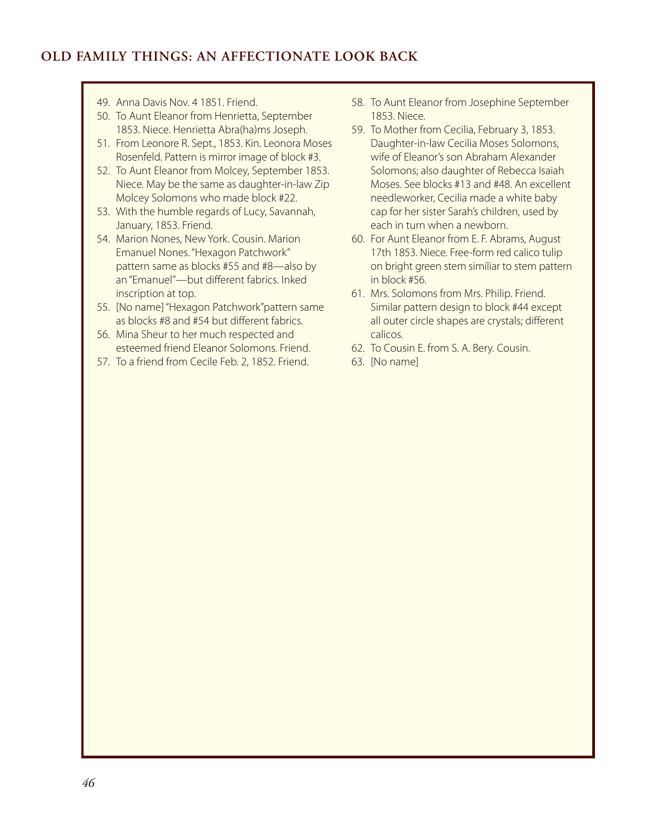# **OLD FAMILY THINGS: AN AFFECTIONATE LOOK BACK**

- 49. Anna Davis Nov. 4 1851. Friend.
- 50. To Aunt Eleanor from Henrietta, September 1853. Niece. Henrietta Abra(ha)ms Joseph.
- 51. From Leonore R. Sept., 1853. Kin. Leonora Moses Rosenfeld. Pattern is mirror image of block #3.
- 52. To Aunt Eleanor from Molcey, September 1853. Niece. May be the same as daughter-in-law Zip Molcey Solomons who made block #22.
- 53. With the humble regards of Lucy, Savannah, January, 1853. Friend.
- 54. Marion Nones, New York. Cousin. Marion Emanuel Nones. "Hexagon Patchwork" pattern same as blocks #55 and #8—also by an "Emanuel"—but different fabrics. Inked inscription at top.
- 55. [No name] "Hexagon Patchwork"pattern same as blocks #8 and #54 but different fabrics.
- 56. Mina Sheur to her much respected and esteemed friend Eleanor Solomons. Friend.
- 57. To a friend from Cecile Feb. 2, 1852. Friend.
- 58. To Aunt Eleanor from Josephine September 1853. Niece.
- 59. To Mother from Cecilia, February 3, 1853. Daughter-in-law Cecilia Moses Solomons, wife of Eleanor's son Abraham Alexander Solomons; also daughter of Rebecca Isaiah Moses. See blocks #13 and #48. An excellent needleworker, Cecilia made a white baby cap for her sister Sarah's children, used by each in turn when a newborn.
- 60. For Aunt Eleanor from E. F. Abrams, August 17th 1853. Niece. Free-form red calico tulip on bright green stem similiar to stem pattern in block #56.
- 61. Mrs. Solomons from Mrs. Philip. Friend. Similar pattern design to block #44 except all outer circle shapes are crystals; different calicos.
- 62. To Cousin E. from S. A. Bery. Cousin.
- 63. [No name]